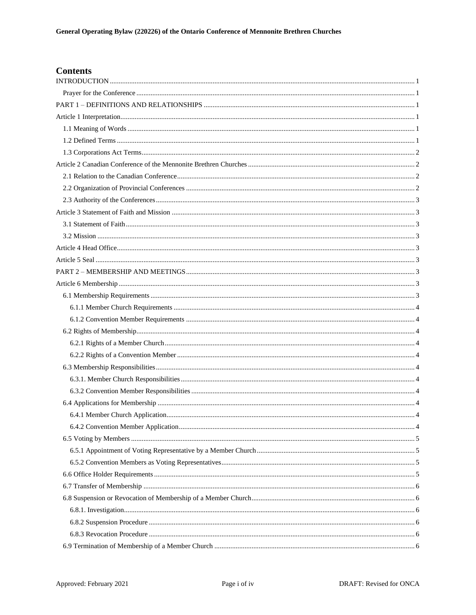# **Contents**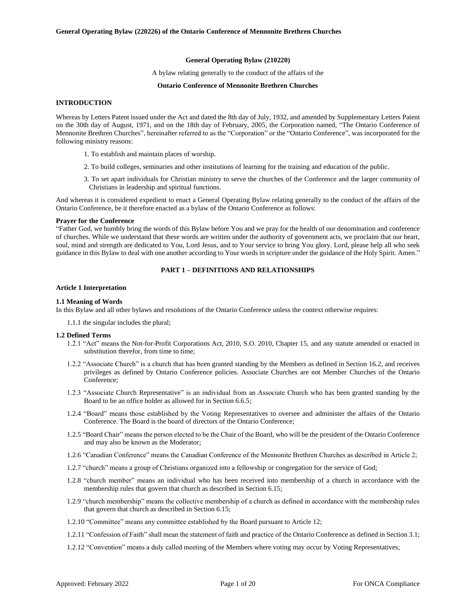### **General Operating Bylaw (210220)**

A bylaw relating generally to the conduct of the affairs of the

#### **Ontario Conference of Mennonite Brethren Churches**

### <span id="page-4-0"></span>**INTRODUCTION**

Whereas by Letters Patent issued under the Act and dated the 8th day of July, 1932, and amended by Supplementary Letters Patent on the 30th day of August, 1971, and on the 18th day of February, 2005, the Corporation named, "The Ontario Conference of Mennonite Brethren Churches", hereinafter referred to as the "Corporation" or the "Ontario Conference", was incorporated for the following ministry reasons:

- 1. To establish and maintain places of worship.
- 2. To build colleges, seminaries and other institutions of learning for the training and education of the public.
- 3. To set apart individuals for Christian ministry to serve the churches of the Conference and the larger community of Christians in leadership and spiritual functions.

And whereas it is considered expedient to enact a General Operating Bylaw relating generally to the conduct of the affairs of the Ontario Conference, be it therefore enacted as a bylaw of the Ontario Conference as follows:

#### <span id="page-4-1"></span>**Prayer for the Conference**

"Father God, we humbly bring the words of this Bylaw before You and we pray for the health of our denomination and conference of churches. While we understand that these words are written under the authority of government acts, we proclaim that our heart, soul, mind and strength are dedicated to You, Lord Jesus, and to Your service to bring You glory. Lord, please help all who seek guidance in this Bylaw to deal with one another according to Your words in scripture under the guidance of the Holy Spirit. Amen."

### **PART 1 – DEFINITIONS AND RELATIONSHIPS**

#### <span id="page-4-3"></span><span id="page-4-2"></span>**Article 1 Interpretation**

#### <span id="page-4-4"></span>**1.1 Meaning of Words**

In this Bylaw and all other bylaws and resolutions of the Ontario Conference unless the context otherwise requires:

1.1.1 the singular includes the plural;

#### <span id="page-4-5"></span>**1.2 Defined Terms**

- 1.2.1 "Act" means the Not-for-Profit Corporations Act, 2010, S.O. 2010, Chapter 15, and any statute amended or enacted in substitution therefor, from time to time;
- 1.2.2 "Associate Church" is a church that has been granted standing by the Members as defined in Section 16.2, and receives privileges as defined by Ontario Conference policies. Associate Churches are not Member Churches of the Ontario Conference;
- 1.2.3 "Associate Church Representative" is an individual from an Associate Church who has been granted standing by the Board to be an office holder as allowed for in Section 6.6.5;
- 1.2.4 "Board" means those established by the Voting Representatives to oversee and administer the affairs of the Ontario Conference. The Board is the board of directors of the Ontario Conference;
- 1.2.5 "Board Chair" means the person elected to be the Chair of the Board, who will be the president of the Ontario Conference and may also be known as the Moderator;
- 1.2.6 "Canadian Conference" means the Canadian Conference of the Mennonite Brethren Churches as described in Article 2;
- 1.2.7 "church" means a group of Christians organized into a fellowship or congregation for the service of God;
- 1.2.8 "church member" means an individual who has been received into membership of a church in accordance with the membership rules that govern that church as described in Section 6.15;
- 1.2.9 "church membership" means the collective membership of a church as defined in accordance with the membership rules that govern that church as described in Section 6.15;
- 1.2.10 "Committee" means any committee established by the Board pursuant to Article 12;
- 1.2.11 "Confession of Faith" shall mean the statement of faith and practice of the Ontario Conference as defined in Section 3.1;
- 1.2.12 "Convention" means a duly called meeting of the Members where voting may occur by Voting Representatives;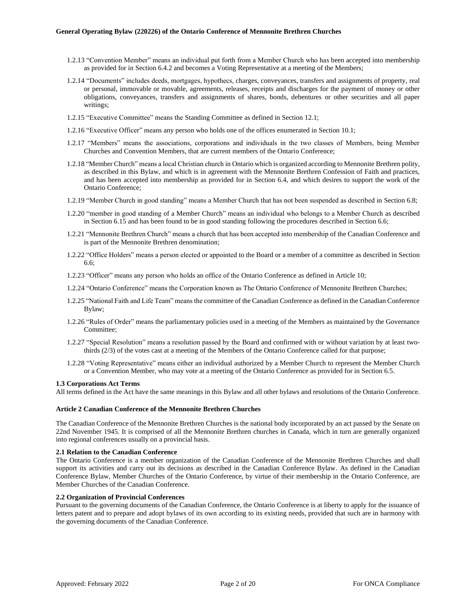- 1.2.13 "Convention Member" means an individual put forth from a Member Church who has been accepted into membership as provided for in Section 6.4.2 and becomes a Voting Representative at a meeting of the Members;
- 1.2.14 "Documents" includes deeds, mortgages, hypothecs, charges, conveyances, transfers and assignments of property, real or personal, immovable or movable, agreements, releases, receipts and discharges for the payment of money or other obligations, conveyances, transfers and assignments of shares, bonds, debentures or other securities and all paper writings;
- 1.2.15 "Executive Committee" means the Standing Committee as defined in Section 12.1;
- 1.2.16 "Executive Officer" means any person who holds one of the offices enumerated in Section 10.1;
- 1.2.17 "Members" means the associations, corporations and individuals in the two classes of Members, being Member Churches and Convention Members, that are current members of the Ontario Conference;
- 1.2.18 "Member Church" means a local Christian church in Ontario which is organized according to Mennonite Brethren polity, as described in this Bylaw, and which is in agreement with the Mennonite Brethren Confession of Faith and practices, and has been accepted into membership as provided for in Section 6.4, and which desires to support the work of the Ontario Conference;
- 1.2.19 "Member Church in good standing" means a Member Church that has not been suspended as described in Section 6.8;
- 1.2.20 "member in good standing of a Member Church" means an individual who belongs to a Member Church as described in Section 6.15 and has been found to be in good standing following the procedures described in Section 6.6;
- 1.2.21 "Mennonite Brethren Church" means a church that has been accepted into membership of the Canadian Conference and is part of the Mennonite Brethren denomination;
- 1.2.22 "Office Holders" means a person elected or appointed to the Board or a member of a committee as described in Section  $66$
- 1.2.23 "Officer" means any person who holds an office of the Ontario Conference as defined in Article 10;
- 1.2.24 "Ontario Conference" means the Corporation known as The Ontario Conference of Mennonite Brethren Churches;
- 1.2.25 "National Faith and Life Team" means the committee of the Canadian Conference as defined in the Canadian Conference Bylaw;
- 1.2.26 "Rules of Order" means the parliamentary policies used in a meeting of the Members as maintained by the Governance Committee;
- 1.2.27 "Special Resolution" means a resolution passed by the Board and confirmed with or without variation by at least twothirds (2/3) of the votes cast at a meeting of the Members of the Ontario Conference called for that purpose;
- 1.2.28 "Voting Representative" means either an individual authorized by a Member Church to represent the Member Church or a Convention Member, who may vote at a meeting of the Ontario Conference as provided for in Section 6.5.

### <span id="page-5-0"></span>**1.3 Corporations Act Terms**

All terms defined in the Act have the same meanings in this Bylaw and all other bylaws and resolutions of the Ontario Conference.

### <span id="page-5-1"></span>**Article 2 Canadian Conference of the Mennonite Brethren Churches**

The Canadian Conference of the Mennonite Brethren Churches is the national body incorporated by an act passed by the Senate on 22nd November 1945. It is comprised of all the Mennonite Brethren churches in Canada, which in turn are generally organized into regional conferences usually on a provincial basis.

### <span id="page-5-2"></span>**2.1 Relation to the Canadian Conference**

The Ontario Conference is a member organization of the Canadian Conference of the Mennonite Brethren Churches and shall support its activities and carry out its decisions as described in the Canadian Conference Bylaw. As defined in the Canadian Conference Bylaw, Member Churches of the Ontario Conference, by virtue of their membership in the Ontario Conference, are Member Churches of the Canadian Conference.

### <span id="page-5-3"></span>**2.2 Organization of Provincial Conferences**

Pursuant to the governing documents of the Canadian Conference, the Ontario Conference is at liberty to apply for the issuance of letters patent and to prepare and adopt bylaws of its own according to its existing needs, provided that such are in harmony with the governing documents of the Canadian Conference.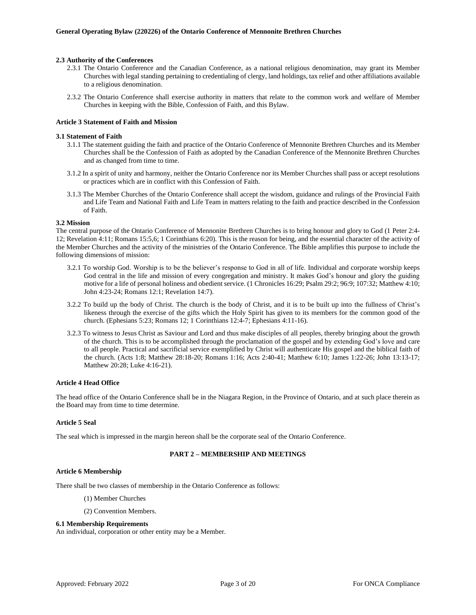### <span id="page-6-0"></span>**2.3 Authority of the Conferences**

- 2.3.1 The Ontario Conference and the Canadian Conference, as a national religious denomination, may grant its Member Churches with legal standing pertaining to credentialing of clergy, land holdings, tax relief and other affiliations available to a religious denomination.
- 2.3.2 The Ontario Conference shall exercise authority in matters that relate to the common work and welfare of Member Churches in keeping with the Bible, Confession of Faith, and this Bylaw.

#### <span id="page-6-1"></span>**Article 3 Statement of Faith and Mission**

#### <span id="page-6-2"></span>**3.1 Statement of Faith**

- 3.1.1 The statement guiding the faith and practice of the Ontario Conference of Mennonite Brethren Churches and its Member Churches shall be the Confession of Faith as adopted by the Canadian Conference of the Mennonite Brethren Churches and as changed from time to time.
- 3.1.2 In a spirit of unity and harmony, neither the Ontario Conference nor its Member Churches shall pass or accept resolutions or practices which are in conflict with this Confession of Faith.
- 3.1.3 The Member Churches of the Ontario Conference shall accept the wisdom, guidance and rulings of the Provincial Faith and Life Team and National Faith and Life Team in matters relating to the faith and practice described in the Confession of Faith.

#### <span id="page-6-3"></span>**3.2 Mission**

The central purpose of the Ontario Conference of Mennonite Brethren Churches is to bring honour and glory to God (1 Peter 2:4- 12; Revelation 4:11; Romans 15:5,6; 1 Corinthians 6:20). This is the reason for being, and the essential character of the activity of the Member Churches and the activity of the ministries of the Ontario Conference. The Bible amplifies this purpose to include the following dimensions of mission:

- 3.2.1 To worship God. Worship is to be the believer's response to God in all of life. Individual and corporate worship keeps God central in the life and mission of every congregation and ministry. It makes God's honour and glory the guiding motive for a life of personal holiness and obedient service. (1 Chronicles 16:29; Psalm 29:2; 96:9; 107:32; Matthew 4:10; John 4:23-24; Romans 12:1; Revelation 14:7).
- 3.2.2 To build up the body of Christ. The church is the body of Christ, and it is to be built up into the fullness of Christ's likeness through the exercise of the gifts which the Holy Spirit has given to its members for the common good of the church. (Ephesians 5:23; Romans 12; 1 Corinthians 12:4-7; Ephesians 4:11-16).
- 3.2.3 To witness to Jesus Christ as Saviour and Lord and thus make disciples of all peoples, thereby bringing about the growth of the church. This is to be accomplished through the proclamation of the gospel and by extending God's love and care to all people. Practical and sacrificial service exemplified by Christ will authenticate His gospel and the biblical faith of the church. (Acts 1:8; Matthew 28:18-20; Romans 1:16; Acts 2:40-41; Matthew 6:10; James 1:22-26; John 13:13-17; Matthew 20:28; Luke 4:16-21).

### <span id="page-6-4"></span>**Article 4 Head Office**

The head office of the Ontario Conference shall be in the Niagara Region, in the Province of Ontario, and at such place therein as the Board may from time to time determine.

### <span id="page-6-5"></span>**Article 5 Seal**

<span id="page-6-6"></span>The seal which is impressed in the margin hereon shall be the corporate seal of the Ontario Conference.

### **PART 2 – MEMBERSHIP AND MEETINGS**

#### <span id="page-6-7"></span>**Article 6 Membership**

There shall be two classes of membership in the Ontario Conference as follows:

- (1) Member Churches
- (2) Convention Members.

#### <span id="page-6-8"></span>**6.1 Membership Requirements**

An individual, corporation or other entity may be a Member.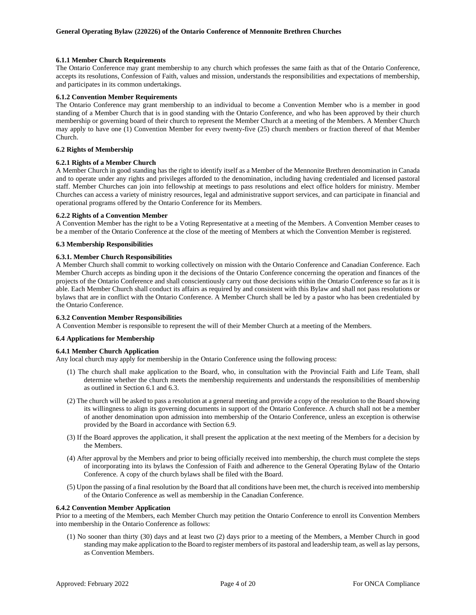### <span id="page-7-0"></span>**6.1.1 Member Church Requirements**

The Ontario Conference may grant membership to any church which professes the same faith as that of the Ontario Conference, accepts its resolutions, Confession of Faith, values and mission, understands the responsibilities and expectations of membership, and participates in its common undertakings.

### <span id="page-7-1"></span>**6.1.2 Convention Member Requirements**

The Ontario Conference may grant membership to an individual to become a Convention Member who is a member in good standing of a Member Church that is in good standing with the Ontario Conference, and who has been approved by their church membership or governing board of their church to represent the Member Church at a meeting of the Members. A Member Church may apply to have one (1) Convention Member for every twenty-five (25) church members or fraction thereof of that Member Church.

### <span id="page-7-2"></span>**6.2 Rights of Membership**

### <span id="page-7-3"></span>**6.2.1 Rights of a Member Church**

A Member Church in good standing has the right to identify itself as a Member of the Mennonite Brethren denomination in Canada and to operate under any rights and privileges afforded to the denomination, including having credentialed and licensed pastoral staff. Member Churches can join into fellowship at meetings to pass resolutions and elect office holders for ministry. Member Churches can access a variety of ministry resources, legal and administrative support services, and can participate in financial and operational programs offered by the Ontario Conference for its Members.

### <span id="page-7-4"></span>**6.2.2 Rights of a Convention Member**

A Convention Member has the right to be a Voting Representative at a meeting of the Members. A Convention Member ceases to be a member of the Ontario Conference at the close of the meeting of Members at which the Convention Member is registered.

### <span id="page-7-5"></span>**6.3 Membership Responsibilities**

### <span id="page-7-6"></span>**6.3.1. Member Church Responsibilities**

A Member Church shall commit to working collectively on mission with the Ontario Conference and Canadian Conference. Each Member Church accepts as binding upon it the decisions of the Ontario Conference concerning the operation and finances of the projects of the Ontario Conference and shall conscientiously carry out those decisions within the Ontario Conference so far as it is able. Each Member Church shall conduct its affairs as required by and consistent with this Bylaw and shall not pass resolutions or bylaws that are in conflict with the Ontario Conference. A Member Church shall be led by a pastor who has been credentialed by the Ontario Conference.

### <span id="page-7-7"></span>**6.3.2 Convention Member Responsibilities**

A Convention Member is responsible to represent the will of their Member Church at a meeting of the Members.

#### <span id="page-7-8"></span>**6.4 Applications for Membership**

## <span id="page-7-9"></span>**6.4.1 Member Church Application**

Any local church may apply for membership in the Ontario Conference using the following process:

- (1) The church shall make application to the Board, who, in consultation with the Provincial Faith and Life Team, shall determine whether the church meets the membership requirements and understands the responsibilities of membership as outlined in Section 6.1 and 6.3.
- (2) The church will be asked to pass a resolution at a general meeting and provide a copy of the resolution to the Board showing its willingness to align its governing documents in support of the Ontario Conference. A church shall not be a member of another denomination upon admission into membership of the Ontario Conference, unless an exception is otherwise provided by the Board in accordance with Section 6.9.
- (3) If the Board approves the application, it shall present the application at the next meeting of the Members for a decision by the Members.
- (4) After approval by the Members and prior to being officially received into membership, the church must complete the steps of incorporating into its bylaws the Confession of Faith and adherence to the General Operating Bylaw of the Ontario Conference. A copy of the church bylaws shall be filed with the Board.
- (5) Upon the passing of a final resolution by the Board that all conditions have been met, the church is received into membership of the Ontario Conference as well as membership in the Canadian Conference.

#### <span id="page-7-10"></span>**6.4.2 Convention Member Application**

Prior to a meeting of the Members, each Member Church may petition the Ontario Conference to enroll its Convention Members into membership in the Ontario Conference as follows:

(1) No sooner than thirty (30) days and at least two (2) days prior to a meeting of the Members, a Member Church in good standing may make application to the Board to register members of its pastoral and leadership team, as well as lay persons, as Convention Members.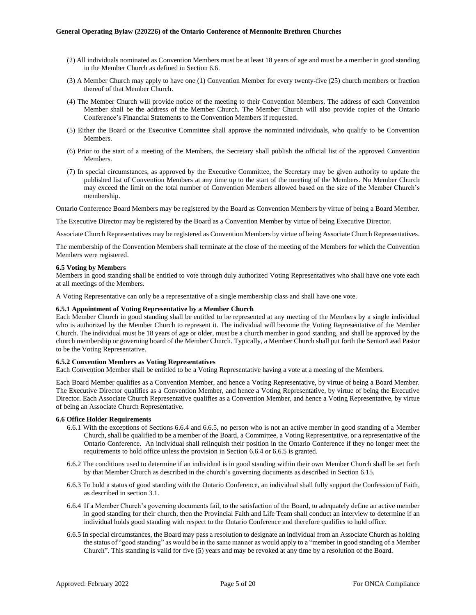- (2) All individuals nominated as Convention Members must be at least 18 years of age and must be a member in good standing in the Member Church as defined in Section 6.6.
- (3) A Member Church may apply to have one (1) Convention Member for every twenty-five (25) church members or fraction thereof of that Member Church.
- (4) The Member Church will provide notice of the meeting to their Convention Members. The address of each Convention Member shall be the address of the Member Church. The Member Church will also provide copies of the Ontario Conference's Financial Statements to the Convention Members if requested.
- (5) Either the Board or the Executive Committee shall approve the nominated individuals, who qualify to be Convention Members.
- (6) Prior to the start of a meeting of the Members, the Secretary shall publish the official list of the approved Convention Members.
- (7) In special circumstances, as approved by the Executive Committee, the Secretary may be given authority to update the published list of Convention Members at any time up to the start of the meeting of the Members. No Member Church may exceed the limit on the total number of Convention Members allowed based on the size of the Member Church's membership.

Ontario Conference Board Members may be registered by the Board as Convention Members by virtue of being a Board Member.

The Executive Director may be registered by the Board as a Convention Member by virtue of being Executive Director.

Associate Church Representatives may be registered as Convention Members by virtue of being Associate Church Representatives.

The membership of the Convention Members shall terminate at the close of the meeting of the Members for which the Convention Members were registered.

#### <span id="page-8-0"></span>**6.5 Voting by Members**

Members in good standing shall be entitled to vote through duly authorized Voting Representatives who shall have one vote each at all meetings of the Members.

A Voting Representative can only be a representative of a single membership class and shall have one vote.

#### <span id="page-8-1"></span>**6.5.1 Appointment of Voting Representative by a Member Church**

Each Member Church in good standing shall be entitled to be represented at any meeting of the Members by a single individual who is authorized by the Member Church to represent it. The individual will become the Voting Representative of the Member Church. The individual must be 18 years of age or older, must be a church member in good standing, and shall be approved by the church membership or governing board of the Member Church. Typically, a Member Church shall put forth the Senior/Lead Pastor to be the Voting Representative.

### <span id="page-8-2"></span>**6.5.2 Convention Members as Voting Representatives**

Each Convention Member shall be entitled to be a Voting Representative having a vote at a meeting of the Members.

Each Board Member qualifies as a Convention Member, and hence a Voting Representative, by virtue of being a Board Member. The Executive Director qualifies as a Convention Member, and hence a Voting Representative, by virtue of being the Executive Director. Each Associate Church Representative qualifies as a Convention Member, and hence a Voting Representative, by virtue of being an Associate Church Representative.

#### <span id="page-8-3"></span>**6.6 Office Holder Requirements**

- 6.6.1 With the exceptions of Sections 6.6.4 and 6.6.5, no person who is not an active member in good standing of a Member Church, shall be qualified to be a member of the Board, a Committee, a Voting Representative, or a representative of the Ontario Conference. An individual shall relinquish their position in the Ontario Conference if they no longer meet the requirements to hold office unless the provision in Section 6.6.4 or 6.6.5 is granted.
- 6.6.2 The conditions used to determine if an individual is in good standing within their own Member Church shall be set forth by that Member Church as described in the church's governing documents as described in Section 6.15.
- 6.6.3 To hold a status of good standing with the Ontario Conference, an individual shall fully support the Confession of Faith, as described in section 3.1.
- 6.6.4 If a Member Church's governing documents fail, to the satisfaction of the Board, to adequately define an active member in good standing for their church, then the Provincial Faith and Life Team shall conduct an interview to determine if an individual holds good standing with respect to the Ontario Conference and therefore qualifies to hold office.
- 6.6.5 In special circumstances, the Board may pass a resolution to designate an individual from an Associate Church as holding the status of "good standing" as would be in the same manner as would apply to a "member in good standing of a Member Church". This standing is valid for five (5) years and may be revoked at any time by a resolution of the Board.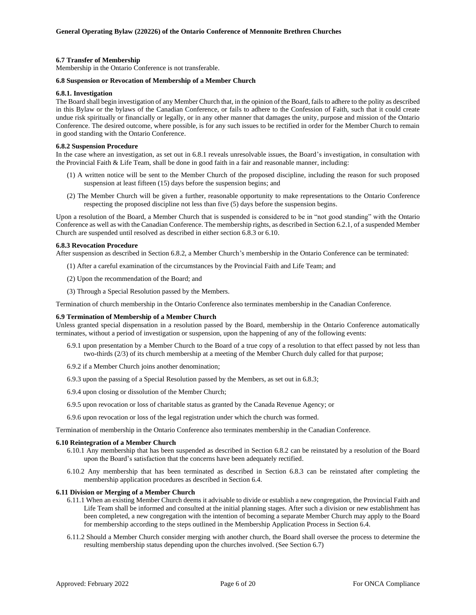### <span id="page-9-0"></span>**6.7 Transfer of Membership**

Membership in the Ontario Conference is not transferable.

#### <span id="page-9-1"></span>**6.8 Suspension or Revocation of Membership of a Member Church**

#### <span id="page-9-2"></span>**6.8.1. Investigation**

The Board shall begin investigation of any Member Church that, in the opinion of the Board, failsto adhere to the polity as described in this Bylaw or the bylaws of the Canadian Conference, or fails to adhere to the Confession of Faith, such that it could create undue risk spiritually or financially or legally, or in any other manner that damages the unity, purpose and mission of the Ontario Conference. The desired outcome, where possible, is for any such issues to be rectified in order for the Member Church to remain in good standing with the Ontario Conference.

#### <span id="page-9-3"></span>**6.8.2 Suspension Procedure**

In the case where an investigation, as set out in 6.8.1 reveals unresolvable issues, the Board's investigation, in consultation with the Provincial Faith & Life Team, shall be done in good faith in a fair and reasonable manner, including:

- (1) A written notice will be sent to the Member Church of the proposed discipline, including the reason for such proposed suspension at least fifteen (15) days before the suspension begins; and
- (2) The Member Church will be given a further, reasonable opportunity to make representations to the Ontario Conference respecting the proposed discipline not less than five (5) days before the suspension begins.

Upon a resolution of the Board, a Member Church that is suspended is considered to be in "not good standing" with the Ontario Conference as well as with the Canadian Conference. The membership rights, as described in Section 6.2.1, of a suspended Member Church are suspended until resolved as described in either section 6.8.3 or 6.10.

#### <span id="page-9-4"></span>**6.8.3 Revocation Procedure**

After suspension as described in Section 6.8.2, a Member Church's membership in the Ontario Conference can be terminated:

- (1) After a careful examination of the circumstances by the Provincial Faith and Life Team; and
- (2) Upon the recommendation of the Board; and
- (3) Through a Special Resolution passed by the Members.

Termination of church membership in the Ontario Conference also terminates membership in the Canadian Conference.

#### <span id="page-9-5"></span>**6.9 Termination of Membership of a Member Church**

Unless granted special dispensation in a resolution passed by the Board, membership in the Ontario Conference automatically terminates, without a period of investigation or suspension, upon the happening of any of the following events:

- 6.9.1 upon presentation by a Member Church to the Board of a true copy of a resolution to that effect passed by not less than two-thirds (2/3) of its church membership at a meeting of the Member Church duly called for that purpose;
- 6.9.2 if a Member Church joins another denomination;
- 6.9.3 upon the passing of a Special Resolution passed by the Members, as set out in 6.8.3;
- 6.9.4 upon closing or dissolution of the Member Church;
- 6.9.5 upon revocation or loss of charitable status as granted by the Canada Revenue Agency; or
- 6.9.6 upon revocation or loss of the legal registration under which the church was formed.

Termination of membership in the Ontario Conference also terminates membership in the Canadian Conference.

#### <span id="page-9-6"></span>**6.10 Reintegration of a Member Church**

- 6.10.1 Any membership that has been suspended as described in Section 6.8.2 can be reinstated by a resolution of the Board upon the Board's satisfaction that the concerns have been adequately rectified.
- 6.10.2 Any membership that has been terminated as described in Section 6.8.3 can be reinstated after completing the membership application procedures as described in Section 6.4.

### <span id="page-9-7"></span>**6.11 Division or Merging of a Member Church**

- 6.11.1 When an existing Member Church deems it advisable to divide or establish a new congregation, the Provincial Faith and Life Team shall be informed and consulted at the initial planning stages. After such a division or new establishment has been completed, a new congregation with the intention of becoming a separate Member Church may apply to the Board for membership according to the steps outlined in the Membership Application Process in Section 6.4.
- 6.11.2 Should a Member Church consider merging with another church, the Board shall oversee the process to determine the resulting membership status depending upon the churches involved. (See Section 6.7)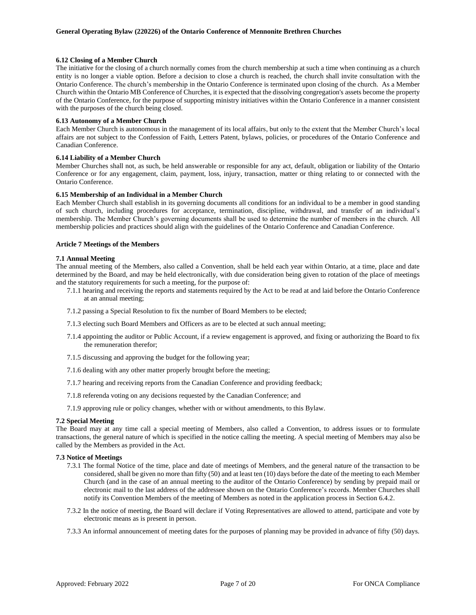### <span id="page-10-0"></span>**6.12 Closing of a Member Church**

The initiative for the closing of a church normally comes from the church membership at such a time when continuing as a church entity is no longer a viable option. Before a decision to close a church is reached, the church shall invite consultation with the Ontario Conference. The church's membership in the Ontario Conference is terminated upon closing of the church. As a Member Church within the Ontario MB Conference of Churches, it is expected that the dissolving congregation's assets become the property of the Ontario Conference, for the purpose of supporting ministry initiatives within the Ontario Conference in a manner consistent with the purposes of the church being closed.

### <span id="page-10-1"></span>**6.13 Autonomy of a Member Church**

Each Member Church is autonomous in the management of its local affairs, but only to the extent that the Member Church's local affairs are not subject to the Confession of Faith, Letters Patent, bylaws, policies, or procedures of the Ontario Conference and Canadian Conference.

### <span id="page-10-2"></span>**6.14 Liability of a Member Church**

Member Churches shall not, as such, be held answerable or responsible for any act, default, obligation or liability of the Ontario Conference or for any engagement, claim, payment, loss, injury, transaction, matter or thing relating to or connected with the Ontario Conference.

### <span id="page-10-3"></span>**6.15 Membership of an Individual in a Member Church**

Each Member Church shall establish in its governing documents all conditions for an individual to be a member in good standing of such church, including procedures for acceptance, termination, discipline, withdrawal, and transfer of an individual's membership. The Member Church's governing documents shall be used to determine the number of members in the church. All membership policies and practices should align with the guidelines of the Ontario Conference and Canadian Conference.

### <span id="page-10-4"></span>**Article 7 Meetings of the Members**

### <span id="page-10-5"></span>**7.1 Annual Meeting**

The annual meeting of the Members, also called a Convention, shall be held each year within Ontario, at a time, place and date determined by the Board, and may be held electronically, with due consideration being given to rotation of the place of meetings and the statutory requirements for such a meeting, for the purpose of:

- 7.1.1 hearing and receiving the reports and statements required by the Act to be read at and laid before the Ontario Conference at an annual meeting;
- 7.1.2 passing a Special Resolution to fix the number of Board Members to be elected;
- 7.1.3 electing such Board Members and Officers as are to be elected at such annual meeting;
- 7.1.4 appointing the auditor or Public Account, if a review engagement is approved, and fixing or authorizing the Board to fix the remuneration therefor;
- 7.1.5 discussing and approving the budget for the following year;
- 7.1.6 dealing with any other matter properly brought before the meeting;
- 7.1.7 hearing and receiving reports from the Canadian Conference and providing feedback;
- 7.1.8 referenda voting on any decisions requested by the Canadian Conference; and
- 7.1.9 approving rule or policy changes, whether with or without amendments, to this Bylaw.

#### <span id="page-10-6"></span>**7.2 Special Meeting**

The Board may at any time call a special meeting of Members, also called a Convention, to address issues or to formulate transactions, the general nature of which is specified in the notice calling the meeting. A special meeting of Members may also be called by the Members as provided in the Act.

#### <span id="page-10-7"></span>**7.3 Notice of Meetings**

- 7.3.1 The formal Notice of the time, place and date of meetings of Members, and the general nature of the transaction to be considered, shall be given no more than fifty (50) and at least ten (10) days before the date of the meeting to each Member Church (and in the case of an annual meeting to the auditor of the Ontario Conference) by sending by prepaid mail or electronic mail to the last address of the addressee shown on the Ontario Conference's records. Member Churches shall notify its Convention Members of the meeting of Members as noted in the application process in Section 6.4.2.
- 7.3.2 In the notice of meeting, the Board will declare if Voting Representatives are allowed to attend, participate and vote by electronic means as is present in person.
- 7.3.3 An informal announcement of meeting dates for the purposes of planning may be provided in advance of fifty (50) days.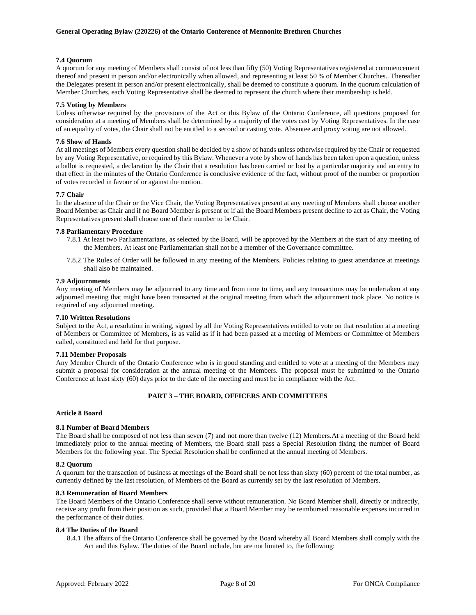### <span id="page-11-0"></span>**7.4 Quorum**

A quorum for any meeting of Members shall consist of not less than fifty (50) Voting Representatives registered at commencement thereof and present in person and/or electronically when allowed, and representing at least 50 % of Member Churches.. Thereafter the Delegates present in person and/or present electronically, shall be deemed to constitute a quorum. In the quorum calculation of Member Churches, each Voting Representative shall be deemed to represent the church where their membership is held.

### <span id="page-11-1"></span>**7.5 Voting by Members**

Unless otherwise required by the provisions of the Act or this Bylaw of the Ontario Conference, all questions proposed for consideration at a meeting of Members shall be determined by a majority of the votes cast by Voting Representatives. In the case of an equality of votes, the Chair shall not be entitled to a second or casting vote. Absentee and proxy voting are not allowed.

### <span id="page-11-2"></span>**7.6 Show of Hands**

At all meetings of Members every question shall be decided by a show of hands unless otherwise required by the Chair or requested by any Voting Representative, or required by this Bylaw. Whenever a vote by show of hands has been taken upon a question, unless a ballot is requested, a declaration by the Chair that a resolution has been carried or lost by a particular majority and an entry to that effect in the minutes of the Ontario Conference is conclusive evidence of the fact, without proof of the number or proportion of votes recorded in favour of or against the motion.

### <span id="page-11-3"></span>**7.7 Chair**

In the absence of the Chair or the Vice Chair, the Voting Representatives present at any meeting of Members shall choose another Board Member as Chair and if no Board Member is present or if all the Board Members present decline to act as Chair, the Voting Representatives present shall choose one of their number to be Chair.

### <span id="page-11-4"></span>**7.8 Parliamentary Procedure**

- 7.8.1 At least two Parliamentarians, as selected by the Board, will be approved by the Members at the start of any meeting of the Members. At least one Parliamentarian shall not be a member of the Governance committee.
- 7.8.2 The Rules of Order will be followed in any meeting of the Members. Policies relating to guest attendance at meetings shall also be maintained.

### <span id="page-11-5"></span>**7.9 Adjournments**

Any meeting of Members may be adjourned to any time and from time to time, and any transactions may be undertaken at any adjourned meeting that might have been transacted at the original meeting from which the adjournment took place. No notice is required of any adjourned meeting.

### <span id="page-11-6"></span>**7.10 Written Resolutions**

Subject to the Act, a resolution in writing, signed by all the Voting Representatives entitled to vote on that resolution at a meeting of Members or Committee of Members, is as valid as if it had been passed at a meeting of Members or Committee of Members called, constituted and held for that purpose.

### <span id="page-11-7"></span>**7.11 Member Proposals**

Any Member Church of the Ontario Conference who is in good standing and entitled to vote at a meeting of the Members may submit a proposal for consideration at the annual meeting of the Members. The proposal must be submitted to the Ontario Conference at least sixty (60) days prior to the date of the meeting and must be in compliance with the Act.

### **PART 3 – THE BOARD, OFFICERS AND COMMITTEES**

### <span id="page-11-9"></span><span id="page-11-8"></span>**Article 8 Board**

### <span id="page-11-10"></span>**8.1 Number of Board Members**

The Board shall be composed of not less than seven (7) and not more than twelve (12) Members.At a meeting of the Board held immediately prior to the annual meeting of Members, the Board shall pass a Special Resolution fixing the number of Board Members for the following year. The Special Resolution shall be confirmed at the annual meeting of Members.

#### <span id="page-11-11"></span>**8.2 Quorum**

A quorum for the transaction of business at meetings of the Board shall be not less than sixty (60) percent of the total number, as currently defined by the last resolution, of Members of the Board as currently set by the last resolution of Members.

#### <span id="page-11-12"></span>**8.3 Remuneration of Board Members**

The Board Members of the Ontario Conference shall serve without remuneration. No Board Member shall, directly or indirectly, receive any profit from their position as such, provided that a Board Member may be reimbursed reasonable expenses incurred in the performance of their duties.

#### <span id="page-11-13"></span>**8.4 The Duties of the Board**

8.4.1 The affairs of the Ontario Conference shall be governed by the Board whereby all Board Members shall comply with the Act and this Bylaw. The duties of the Board include, but are not limited to, the following: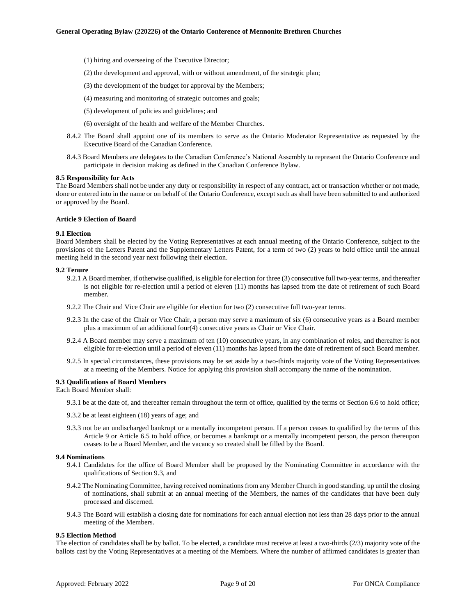- (1) hiring and overseeing of the Executive Director;
- (2) the development and approval, with or without amendment, of the strategic plan;
- (3) the development of the budget for approval by the Members;
- (4) measuring and monitoring of strategic outcomes and goals;
- (5) development of policies and guidelines; and
- (6) oversight of the health and welfare of the Member Churches.
- 8.4.2 The Board shall appoint one of its members to serve as the Ontario Moderator Representative as requested by the Executive Board of the Canadian Conference.
- 8.4.3 Board Members are delegates to the Canadian Conference's National Assembly to represent the Ontario Conference and participate in decision making as defined in the Canadian Conference Bylaw.

#### <span id="page-12-0"></span>**8.5 Responsibility for Acts**

The Board Members shall not be under any duty or responsibility in respect of any contract, act or transaction whether or not made, done or entered into in the name or on behalf of the Ontario Conference, except such as shall have been submitted to and authorized or approved by the Board.

### <span id="page-12-1"></span>**Article 9 Election of Board**

### <span id="page-12-2"></span>**9.1 Election**

Board Members shall be elected by the Voting Representatives at each annual meeting of the Ontario Conference, subject to the provisions of the Letters Patent and the Supplementary Letters Patent, for a term of two (2) years to hold office until the annual meeting held in the second year next following their election.

#### <span id="page-12-3"></span>**9.2 Tenure**

- 9.2.1 A Board member, if otherwise qualified, is eligible for election for three (3) consecutive full two-year terms, and thereafter is not eligible for re-election until a period of eleven (11) months has lapsed from the date of retirement of such Board member.
- 9.2.2 The Chair and Vice Chair are eligible for election for two (2) consecutive full two-year terms.
- 9.2.3 In the case of the Chair or Vice Chair, a person may serve a maximum of six (6) consecutive years as a Board member plus a maximum of an additional four(4) consecutive years as Chair or Vice Chair.
- 9.2.4 A Board member may serve a maximum of ten (10) consecutive years, in any combination of roles, and thereafter is not eligible for re-election until a period of eleven (11) months has lapsed from the date of retirement of such Board member.
- 9.2.5 In special circumstances, these provisions may be set aside by a two-thirds majority vote of the Voting Representatives at a meeting of the Members. Notice for applying this provision shall accompany the name of the nomination.

### <span id="page-12-4"></span>**9.3 Qualifications of Board Members**

Each Board Member shall:

- 9.3.1 be at the date of, and thereafter remain throughout the term of office, qualified by the terms of Section 6.6 to hold office;
- 9.3.2 be at least eighteen (18) years of age; and
- 9.3.3 not be an undischarged bankrupt or a mentally incompetent person. If a person ceases to qualified by the terms of this Article 9 or Article 6.5 to hold office, or becomes a bankrupt or a mentally incompetent person, the person thereupon ceases to be a Board Member, and the vacancy so created shall be filled by the Board.

### <span id="page-12-5"></span>**9.4 Nominations**

- 9.4.1 Candidates for the office of Board Member shall be proposed by the Nominating Committee in accordance with the qualifications of Section 9.3, and
- 9.4.2 The Nominating Committee, having received nominations from any Member Church in good standing, up until the closing of nominations, shall submit at an annual meeting of the Members, the names of the candidates that have been duly processed and discerned.
- 9.4.3 The Board will establish a closing date for nominations for each annual election not less than 28 days prior to the annual meeting of the Members.

#### <span id="page-12-6"></span>**9.5 Election Method**

The election of candidates shall be by ballot. To be elected, a candidate must receive at least a two-thirds (2/3) majority vote of the ballots cast by the Voting Representatives at a meeting of the Members. Where the number of affirmed candidates is greater than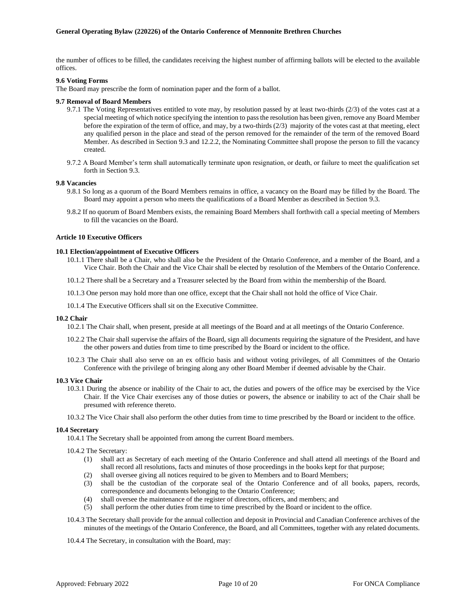the number of offices to be filled, the candidates receiving the highest number of affirming ballots will be elected to the available offices.

### <span id="page-13-0"></span>**9.6 Voting Forms**

The Board may prescribe the form of nomination paper and the form of a ballot.

### <span id="page-13-1"></span>**9.7 Removal of Board Members**

- 9.7.1 The Voting Representatives entitled to vote may, by resolution passed by at least two-thirds (2/3) of the votes cast at a special meeting of which notice specifying the intention to pass the resolution has been given, remove any Board Member before the expiration of the term of office, and may, by a two-thirds  $(2/3)$  majority of the votes cast at that meeting, elect any qualified person in the place and stead of the person removed for the remainder of the term of the removed Board Member. As described in Section 9.3 and 12.2.2, the Nominating Committee shall propose the person to fill the vacancy created.
- 9.7.2 A Board Member's term shall automatically terminate upon resignation, or death, or failure to meet the qualification set forth in Section 9.3.

### <span id="page-13-2"></span>**9.8 Vacancies**

- 9.8.1 So long as a quorum of the Board Members remains in office, a vacancy on the Board may be filled by the Board. The Board may appoint a person who meets the qualifications of a Board Member as described in Section 9.3.
- 9.8.2 If no quorum of Board Members exists, the remaining Board Members shall forthwith call a special meeting of Members to fill the vacancies on the Board.

### <span id="page-13-3"></span>**Article 10 Executive Officers**

### <span id="page-13-4"></span>**10.1 Election/appointment of Executive Officers**

- 10.1.1 There shall be a Chair, who shall also be the President of the Ontario Conference, and a member of the Board, and a Vice Chair. Both the Chair and the Vice Chair shall be elected by resolution of the Members of the Ontario Conference.
- 10.1.2 There shall be a Secretary and a Treasurer selected by the Board from within the membership of the Board.
- 10.1.3 One person may hold more than one office, except that the Chair shall not hold the office of Vice Chair.
- 10.1.4 The Executive Officers shall sit on the Executive Committee.

#### <span id="page-13-5"></span>**10.2 Chair**

10.2.1 The Chair shall, when present, preside at all meetings of the Board and at all meetings of the Ontario Conference.

- 10.2.2 The Chair shall supervise the affairs of the Board, sign all documents requiring the signature of the President, and have the other powers and duties from time to time prescribed by the Board or incident to the office.
- 10.2.3 The Chair shall also serve on an ex officio basis and without voting privileges, of all Committees of the Ontario Conference with the privilege of bringing along any other Board Member if deemed advisable by the Chair.

#### <span id="page-13-6"></span>**10.3 Vice Chair**

- 10.3.1 During the absence or inability of the Chair to act, the duties and powers of the office may be exercised by the Vice Chair. If the Vice Chair exercises any of those duties or powers, the absence or inability to act of the Chair shall be presumed with reference thereto.
- 10.3.2 The Vice Chair shall also perform the other duties from time to time prescribed by the Board or incident to the office.

### <span id="page-13-7"></span>**10.4 Secretary**

10.4.1 The Secretary shall be appointed from among the current Board members.

10.4.2 The Secretary:

- (1) shall act as Secretary of each meeting of the Ontario Conference and shall attend all meetings of the Board and shall record all resolutions, facts and minutes of those proceedings in the books kept for that purpose;
- (2) shall oversee giving all notices required to be given to Members and to Board Members;
- (3) shall be the custodian of the corporate seal of the Ontario Conference and of all books, papers, records, correspondence and documents belonging to the Ontario Conference;
- (4) shall oversee the maintenance of the register of directors, officers, and members; and
- (5) shall perform the other duties from time to time prescribed by the Board or incident to the office.
- 10.4.3 The Secretary shall provide for the annual collection and deposit in Provincial and Canadian Conference archives of the minutes of the meetings of the Ontario Conference, the Board, and all Committees, together with any related documents.
- 10.4.4 The Secretary, in consultation with the Board, may: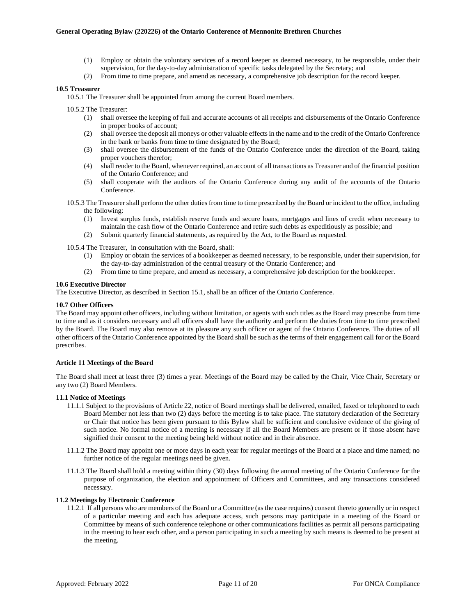- (1) Employ or obtain the voluntary services of a record keeper as deemed necessary, to be responsible, under their supervision, for the day-to-day administration of specific tasks delegated by the Secretary; and
- (2) From time to time prepare, and amend as necessary, a comprehensive job description for the record keeper.

### <span id="page-14-0"></span>**10.5 Treasurer**

10.5.1 The Treasurer shall be appointed from among the current Board members.

10.5.2 The Treasurer:

- (1) shall oversee the keeping of full and accurate accounts of all receipts and disbursements of the Ontario Conference in proper books of account;
- (2) shall oversee the deposit all moneys or other valuable effects in the name and to the credit of the Ontario Conference in the bank or banks from time to time designated by the Board;
- (3) shall oversee the disbursement of the funds of the Ontario Conference under the direction of the Board, taking proper vouchers therefor;
- (4) shall render to the Board, whenever required, an account of all transactions as Treasurer and of the financial position of the Ontario Conference; and
- (5) shall cooperate with the auditors of the Ontario Conference during any audit of the accounts of the Ontario Conference.
- 10.5.3 The Treasurer shall perform the other duties from time to time prescribed by the Board or incident to the office, including the following:
	- (1) Invest surplus funds, establish reserve funds and secure loans, mortgages and lines of credit when necessary to maintain the cash flow of the Ontario Conference and retire such debts as expeditiously as possible; and
	- (2) Submit quarterly financial statements, as required by the Act, to the Board as requested.
- 10.5.4 The Treasurer, in consultation with the Board, shall:
	- (1) Employ or obtain the services of a bookkeeper as deemed necessary, to be responsible, under their supervision, for the day-to-day administration of the central treasury of the Ontario Conference; and
	- (2) From time to time prepare, and amend as necessary, a comprehensive job description for the bookkeeper.

### <span id="page-14-1"></span>**10.6 Executive Director**

The Executive Director, as described in Section 15.1, shall be an officer of the Ontario Conference.

### <span id="page-14-2"></span>**10.7 Other Officers**

The Board may appoint other officers, including without limitation, or agents with such titles as the Board may prescribe from time to time and as it considers necessary and all officers shall have the authority and perform the duties from time to time prescribed by the Board. The Board may also remove at its pleasure any such officer or agent of the Ontario Conference. The duties of all other officers of the Ontario Conference appointed by the Board shall be such as the terms of their engagement call for or the Board prescribes.

### <span id="page-14-3"></span>**Article 11 Meetings of the Board**

The Board shall meet at least three (3) times a year. Meetings of the Board may be called by the Chair, Vice Chair, Secretary or any two (2) Board Members.

### <span id="page-14-4"></span>**11.1 Notice of Meetings**

- 11.1.1 Subject to the provisions of Article 22, notice of Board meetings shall be delivered, emailed, faxed or telephoned to each Board Member not less than two (2) days before the meeting is to take place. The statutory declaration of the Secretary or Chair that notice has been given pursuant to this Bylaw shall be sufficient and conclusive evidence of the giving of such notice. No formal notice of a meeting is necessary if all the Board Members are present or if those absent have signified their consent to the meeting being held without notice and in their absence.
- 11.1.2 The Board may appoint one or more days in each year for regular meetings of the Board at a place and time named; no further notice of the regular meetings need be given.
- 11.1.3 The Board shall hold a meeting within thirty (30) days following the annual meeting of the Ontario Conference for the purpose of organization, the election and appointment of Officers and Committees, and any transactions considered necessary.

### <span id="page-14-5"></span>**11.2 Meetings by Electronic Conference**

11.2.1 If all persons who are members of the Board or a Committee (as the case requires) consent thereto generally or in respect of a particular meeting and each has adequate access, such persons may participate in a meeting of the Board or Committee by means of such conference telephone or other communications facilities as permit all persons participating in the meeting to hear each other, and a person participating in such a meeting by such means is deemed to be present at the meeting.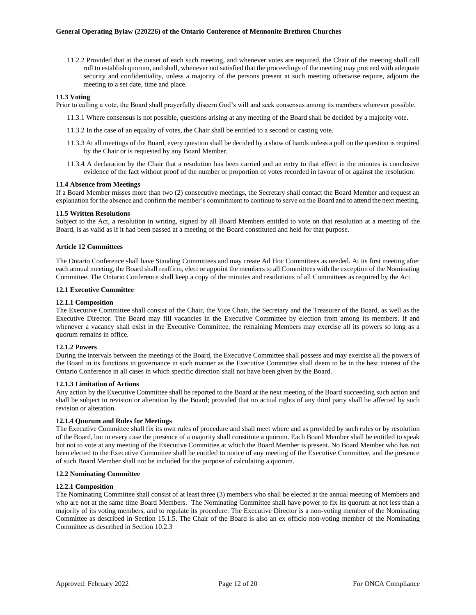11.2.2 Provided that at the outset of each such meeting, and whenever votes are required, the Chair of the meeting shall call roll to establish quorum, and shall, whenever not satisfied that the proceedings of the meeting may proceed with adequate security and confidentiality, unless a majority of the persons present at such meeting otherwise require, adjourn the meeting to a set date, time and place.

#### <span id="page-15-0"></span>**11.3 Voting**

Prior to calling a vote, the Board shall prayerfully discern God's will and seek consensus among its members wherever possible.

- 11.3.1 Where consensus is not possible, questions arising at any meeting of the Board shall be decided by a majority vote.
- 11.3.2 In the case of an equality of votes, the Chair shall be entitled to a second or casting vote.
- 11.3.3 At all meetings of the Board, every question shall be decided by a show of hands unless a poll on the question is required by the Chair or is requested by any Board Member.
- 11.3.4 A declaration by the Chair that a resolution has been carried and an entry to that effect in the minutes is conclusive evidence of the fact without proof of the number or proportion of votes recorded in favour of or against the resolution.

#### <span id="page-15-1"></span>**11.4 Absence from Meetings**

If a Board Member misses more than two (2) consecutive meetings, the Secretary shall contact the Board Member and request an explanation for the absence and confirm the member's commitment to continue to serve on the Board and to attend the next meeting.

#### <span id="page-15-2"></span>**11.5 Written Resolutions**

Subject to the Act, a resolution in writing, signed by all Board Members entitled to vote on that resolution at a meeting of the Board, is as valid as if it had been passed at a meeting of the Board constituted and held for that purpose.

### <span id="page-15-3"></span>**Article 12 Committees**

The Ontario Conference shall have Standing Committees and may create Ad Hoc Committees as needed. At its first meeting after each annual meeting, the Board shall reaffirm, elect or appoint the members to all Committees with the exception of the Nominating Committee. The Ontario Conference shall keep a copy of the minutes and resolutions of all Committees as required by the Act.

### <span id="page-15-4"></span>**12.1 Executive Committee**

### <span id="page-15-5"></span>**12.1.1 Composition**

The Executive Committee shall consist of the Chair, the Vice Chair, the Secretary and the Treasurer of the Board, as well as the Executive Director. The Board may fill vacancies in the Executive Committee by election from among its members. If and whenever a vacancy shall exist in the Executive Committee, the remaining Members may exercise all its powers so long as a quorum remains in office.

### <span id="page-15-6"></span>**12.1.2 Powers**

During the intervals between the meetings of the Board, the Executive Committee shall possess and may exercise all the powers of the Board in its functions in governance in such manner as the Executive Committee shall deem to be in the best interest of the Ontario Conference in all cases in which specific direction shall not have been given by the Board.

### <span id="page-15-7"></span>**12.1.3 Limitation of Actions**

Any action by the Executive Committee shall be reported to the Board at the next meeting of the Board succeeding such action and shall be subject to revision or alteration by the Board; provided that no actual rights of any third party shall be affected by such revision or alteration.

#### <span id="page-15-8"></span>**12.1.4 Quorum and Rules for Meetings**

The Executive Committee shall fix its own rules of procedure and shall meet where and as provided by such rules or by resolution of the Board, but in every case the presence of a majority shall constitute a quorum. Each Board Member shall be entitled to speak but not to vote at any meeting of the Executive Committee at which the Board Member is present. No Board Member who has not been elected to the Executive Committee shall be entitled to notice of any meeting of the Executive Committee, and the presence of such Board Member shall not be included for the purpose of calculating a quorum.

### <span id="page-15-9"></span>**12.2 Nominating Committee**

### <span id="page-15-10"></span>**12.2.1 Composition**

The Nominating Committee shall consist of at least three (3) members who shall be elected at the annual meeting of Members and who are not at the same time Board Members. The Nominating Committee shall have power to fix its quorum at not less than a majority of its voting members, and to regulate its procedure. The Executive Director is a non-voting member of the Nominating Committee as described in Section 15.1.5. The Chair of the Board is also an ex officio non-voting member of the Nominating Committee as described in Section 10.2.3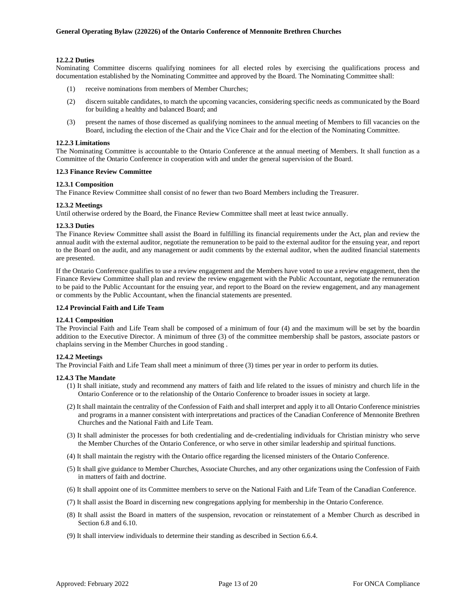### <span id="page-16-0"></span>**12.2.2 Duties**

Nominating Committee discerns qualifying nominees for all elected roles by exercising the qualifications process and documentation established by the Nominating Committee and approved by the Board. The Nominating Committee shall:

- (1) receive nominations from members of Member Churches;
- (2) discern suitable candidates, to match the upcoming vacancies, considering specific needs as communicated by the Board for building a healthy and balanced Board; and
- (3) present the names of those discerned as qualifying nominees to the annual meeting of Members to fill vacancies on the Board, including the election of the Chair and the Vice Chair and for the election of the Nominating Committee.

#### <span id="page-16-1"></span>**12.2.3 Limitations**

The Nominating Committee is accountable to the Ontario Conference at the annual meeting of Members. It shall function as a Committee of the Ontario Conference in cooperation with and under the general supervision of the Board.

### <span id="page-16-2"></span>**12.3 Finance Review Committee**

### <span id="page-16-3"></span>**12.3.1 Composition**

The Finance Review Committee shall consist of no fewer than two Board Members including the Treasurer.

### <span id="page-16-4"></span>**12.3.2 Meetings**

Until otherwise ordered by the Board, the Finance Review Committee shall meet at least twice annually.

### <span id="page-16-5"></span>**12.3.3 Duties**

The Finance Review Committee shall assist the Board in fulfilling its financial requirements under the Act, plan and review the annual audit with the external auditor, negotiate the remuneration to be paid to the external auditor for the ensuing year, and report to the Board on the audit, and any management or audit comments by the external auditor, when the audited financial statements are presented.

If the Ontario Conference qualifies to use a review engagement and the Members have voted to use a review engagement, then the Finance Review Committee shall plan and review the review engagement with the Public Accountant, negotiate the remuneration to be paid to the Public Accountant for the ensuing year, and report to the Board on the review engagement, and any management or comments by the Public Accountant, when the financial statements are presented.

### <span id="page-16-6"></span>**12.4 Provincial Faith and Life Team**

### <span id="page-16-7"></span>**12.4.1 Composition**

The Provincial Faith and Life Team shall be composed of a minimum of four (4) and the maximum will be set by the boardin addition to the Executive Director. A minimum of three (3) of the committee membership shall be pastors, associate pastors or chaplains serving in the Member Churches in good standing .

#### <span id="page-16-8"></span>**12.4.2 Meetings**

The Provincial Faith and Life Team shall meet a minimum of three (3) times per year in order to perform its duties.

#### <span id="page-16-9"></span>**12.4.3 The Mandate**

- (1) It shall initiate, study and recommend any matters of faith and life related to the issues of ministry and church life in the Ontario Conference or to the relationship of the Ontario Conference to broader issues in society at large.
- (2) It shall maintain the centrality of the Confession of Faith and shall interpret and apply it to all Ontario Conference ministries and programs in a manner consistent with interpretations and practices of the Canadian Conference of Mennonite Brethren Churches and the National Faith and Life Team.
- (3) It shall administer the processes for both credentialing and de-credentialing individuals for Christian ministry who serve the Member Churches of the Ontario Conference, or who serve in other similar leadership and spiritual functions.
- (4) It shall maintain the registry with the Ontario office regarding the licensed ministers of the Ontario Conference.
- (5) It shall give guidance to Member Churches, Associate Churches, and any other organizations using the Confession of Faith in matters of faith and doctrine.
- (6) It shall appoint one of its Committee members to serve on the National Faith and Life Team of the Canadian Conference.
- (7) It shall assist the Board in discerning new congregations applying for membership in the Ontario Conference.
- (8) It shall assist the Board in matters of the suspension, revocation or reinstatement of a Member Church as described in Section 6.8 and 6.10.
- (9) It shall interview individuals to determine their standing as described in Section 6.6.4.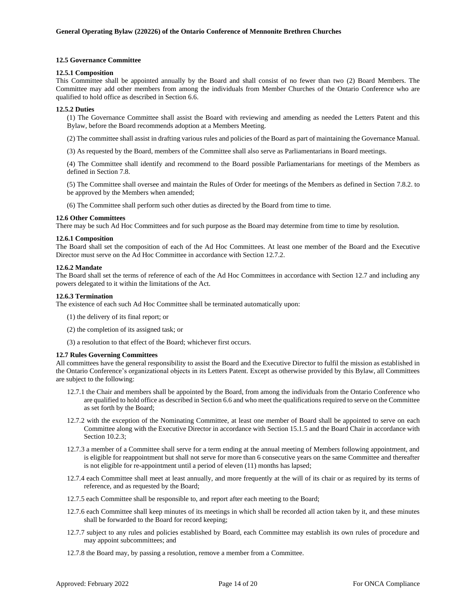### <span id="page-17-0"></span>**12.5 Governance Committee**

#### <span id="page-17-1"></span>**12.5.1 Composition**

This Committee shall be appointed annually by the Board and shall consist of no fewer than two (2) Board Members. The Committee may add other members from among the individuals from Member Churches of the Ontario Conference who are qualified to hold office as described in Section 6.6.

#### <span id="page-17-2"></span>**12.5.2 Duties**

(1) The Governance Committee shall assist the Board with reviewing and amending as needed the Letters Patent and this Bylaw, before the Board recommends adoption at a Members Meeting.

(2) The committee shall assist in drafting various rules and policies of the Board as part of maintaining the Governance Manual.

(3) As requested by the Board, members of the Committee shall also serve as Parliamentarians in Board meetings.

(4) The Committee shall identify and recommend to the Board possible Parliamentarians for meetings of the Members as defined in Section 7.8.

(5) The Committee shall oversee and maintain the Rules of Order for meetings of the Members as defined in Section 7.8.2. to be approved by the Members when amended;

(6) The Committee shall perform such other duties as directed by the Board from time to time.

### <span id="page-17-3"></span>**12.6 Other Committees**

There may be such Ad Hoc Committees and for such purpose as the Board may determine from time to time by resolution.

### <span id="page-17-4"></span>**12.6.1 Composition**

The Board shall set the composition of each of the Ad Hoc Committees. At least one member of the Board and the Executive Director must serve on the Ad Hoc Committee in accordance with Section 12.7.2.

### <span id="page-17-5"></span>**12.6.2 Mandate**

The Board shall set the terms of reference of each of the Ad Hoc Committees in accordance with Section 12.7 and including any powers delegated to it within the limitations of the Act.

### <span id="page-17-6"></span>**12.6.3 Termination**

The existence of each such Ad Hoc Committee shall be terminated automatically upon:

- (1) the delivery of its final report; or
- (2) the completion of its assigned task; or

(3) a resolution to that effect of the Board; whichever first occurs.

### <span id="page-17-7"></span>**12.7 Rules Governing Committees**

All committees have the general responsibility to assist the Board and the Executive Director to fulfil the mission as established in the Ontario Conference's organizational objects in its Letters Patent. Except as otherwise provided by this Bylaw, all Committees are subject to the following:

- 12.7.1 the Chair and members shall be appointed by the Board, from among the individuals from the Ontario Conference who are qualified to hold office as described in Section 6.6 and who meet the qualifications required to serve on the Committee as set forth by the Board;
- 12.7.2 with the exception of the Nominating Committee, at least one member of Board shall be appointed to serve on each Committee along with the Executive Director in accordance with Section 15.1.5 and the Board Chair in accordance with Section 10.2.3;
- 12.7.3 a member of a Committee shall serve for a term ending at the annual meeting of Members following appointment, and is eligible for reappointment but shall not serve for more than 6 consecutive years on the same Committee and thereafter is not eligible for re-appointment until a period of eleven (11) months has lapsed;
- 12.7.4 each Committee shall meet at least annually, and more frequently at the will of its chair or as required by its terms of reference, and as requested by the Board;
- 12.7.5 each Committee shall be responsible to, and report after each meeting to the Board;
- 12.7.6 each Committee shall keep minutes of its meetings in which shall be recorded all action taken by it, and these minutes shall be forwarded to the Board for record keeping;
- 12.7.7 subject to any rules and policies established by Board, each Committee may establish its own rules of procedure and may appoint subcommittees; and
- 12.7.8 the Board may, by passing a resolution, remove a member from a Committee.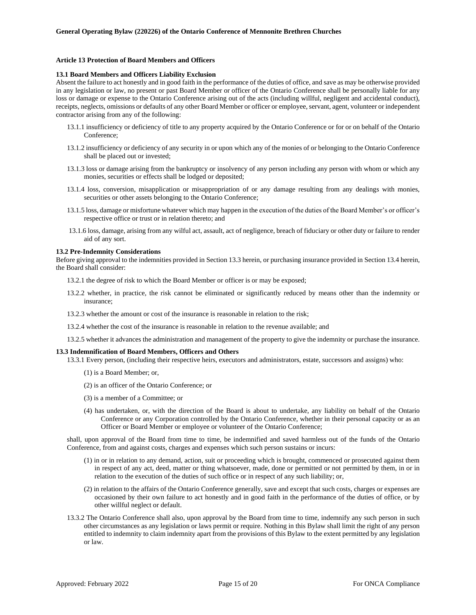### <span id="page-18-0"></span>**Article 13 Protection of Board Members and Officers**

#### <span id="page-18-1"></span>**13.1 Board Members and Officers Liability Exclusion**

Absent the failure to act honestly and in good faith in the performance of the duties of office, and save as may be otherwise provided in any legislation or law, no present or past Board Member or officer of the Ontario Conference shall be personally liable for any loss or damage or expense to the Ontario Conference arising out of the acts (including willful, negligent and accidental conduct), receipts, neglects, omissions or defaults of any other Board Member or officer or employee, servant, agent, volunteer or independent contractor arising from any of the following:

- 13.1.1 insufficiency or deficiency of title to any property acquired by the Ontario Conference or for or on behalf of the Ontario Conference;
- 13.1.2 insufficiency or deficiency of any security in or upon which any of the monies of or belonging to the Ontario Conference shall be placed out or invested;
- 13.1.3 loss or damage arising from the bankruptcy or insolvency of any person including any person with whom or which any monies, securities or effects shall be lodged or deposited;
- 13.1.4 loss, conversion, misapplication or misappropriation of or any damage resulting from any dealings with monies, securities or other assets belonging to the Ontario Conference;
- 13.1.5 loss, damage or misfortune whatever which may happen in the execution of the duties of the Board Member's or officer's respective office or trust or in relation thereto; and
- 13.1.6 loss, damage, arising from any wilful act, assault, act of negligence, breach of fiduciary or other duty or failure to render aid of any sort.

#### <span id="page-18-2"></span>**13.2 Pre-Indemnity Considerations**

Before giving approval to the indemnities provided in Section 13.3 herein, or purchasing insurance provided in Section 13.4 herein, the Board shall consider:

13.2.1 the degree of risk to which the Board Member or officer is or may be exposed;

- 13.2.2 whether, in practice, the risk cannot be eliminated or significantly reduced by means other than the indemnity or insurance;
- 13.2.3 whether the amount or cost of the insurance is reasonable in relation to the risk;
- 13.2.4 whether the cost of the insurance is reasonable in relation to the revenue available; and
- 13.2.5 whether it advances the administration and management of the property to give the indemnity or purchase the insurance.

#### <span id="page-18-3"></span>**13.3 Indemnification of Board Members, Officers and Others**

13.3.1 Every person, (including their respective heirs, executors and administrators, estate, successors and assigns) who:

- (1) is a Board Member; or,
- (2) is an officer of the Ontario Conference; or
- (3) is a member of a Committee; or
- (4) has undertaken, or, with the direction of the Board is about to undertake, any liability on behalf of the Ontario Conference or any Corporation controlled by the Ontario Conference, whether in their personal capacity or as an Officer or Board Member or employee or volunteer of the Ontario Conference;

shall, upon approval of the Board from time to time, be indemnified and saved harmless out of the funds of the Ontario Conference, from and against costs, charges and expenses which such person sustains or incurs:

- (1) in or in relation to any demand, action, suit or proceeding which is brought, commenced or prosecuted against them in respect of any act, deed, matter or thing whatsoever, made, done or permitted or not permitted by them, in or in relation to the execution of the duties of such office or in respect of any such liability; or,
- (2) in relation to the affairs of the Ontario Conference generally, save and except that such costs, charges or expenses are occasioned by their own failure to act honestly and in good faith in the performance of the duties of office, or by other willful neglect or default.
- 13.3.2 The Ontario Conference shall also, upon approval by the Board from time to time, indemnify any such person in such other circumstances as any legislation or laws permit or require. Nothing in this Bylaw shall limit the right of any person entitled to indemnity to claim indemnity apart from the provisions of this Bylaw to the extent permitted by any legislation or law.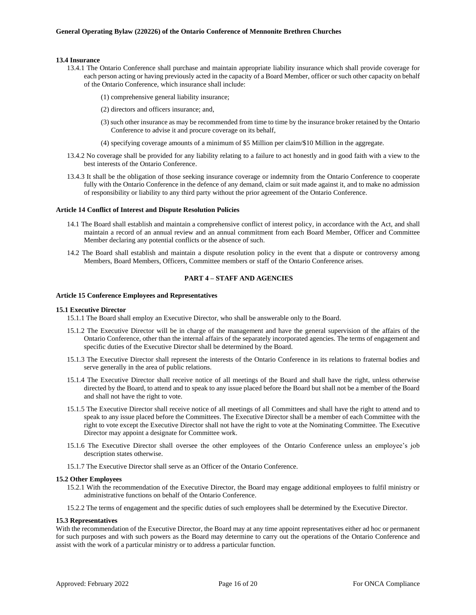### <span id="page-19-0"></span>**13.4 Insurance**

- 13.4.1 The Ontario Conference shall purchase and maintain appropriate liability insurance which shall provide coverage for each person acting or having previously acted in the capacity of a Board Member, officer or such other capacity on behalf of the Ontario Conference, which insurance shall include:
	- (1) comprehensive general liability insurance;
	- (2) directors and officers insurance; and,
	- (3) such other insurance as may be recommended from time to time by the insurance broker retained by the Ontario Conference to advise it and procure coverage on its behalf,
	- (4) specifying coverage amounts of a minimum of \$5 Million per claim/\$10 Million in the aggregate.
- 13.4.2 No coverage shall be provided for any liability relating to a failure to act honestly and in good faith with a view to the best interests of the Ontario Conference.
- 13.4.3 It shall be the obligation of those seeking insurance coverage or indemnity from the Ontario Conference to cooperate fully with the Ontario Conference in the defence of any demand, claim or suit made against it, and to make no admission of responsibility or liability to any third party without the prior agreement of the Ontario Conference.

### <span id="page-19-1"></span>**Article 14 Conflict of Interest and Dispute Resolution Policies**

- 14.1 The Board shall establish and maintain a comprehensive conflict of interest policy, in accordance with the Act, and shall maintain a record of an annual review and an annual commitment from each Board Member, Officer and Committee Member declaring any potential conflicts or the absence of such.
- 14.2 The Board shall establish and maintain a dispute resolution policy in the event that a dispute or controversy among Members, Board Members, Officers, Committee members or staff of the Ontario Conference arises.

## <span id="page-19-2"></span>**PART 4 – STAFF AND AGENCIES**

### <span id="page-19-3"></span>**Article 15 Conference Employees and Representatives**

### <span id="page-19-4"></span>**15.1 Executive Director**

- 15.1.1 The Board shall employ an Executive Director, who shall be answerable only to the Board.
- 15.1.2 The Executive Director will be in charge of the management and have the general supervision of the affairs of the Ontario Conference, other than the internal affairs of the separately incorporated agencies. The terms of engagement and specific duties of the Executive Director shall be determined by the Board.
- 15.1.3 The Executive Director shall represent the interests of the Ontario Conference in its relations to fraternal bodies and serve generally in the area of public relations.
- 15.1.4 The Executive Director shall receive notice of all meetings of the Board and shall have the right, unless otherwise directed by the Board, to attend and to speak to any issue placed before the Board but shall not be a member of the Board and shall not have the right to vote.
- 15.1.5 The Executive Director shall receive notice of all meetings of all Committees and shall have the right to attend and to speak to any issue placed before the Committees. The Executive Director shall be a member of each Committee with the right to vote except the Executive Director shall not have the right to vote at the Nominating Committee. The Executive Director may appoint a designate for Committee work.
- 15.1.6 The Executive Director shall oversee the other employees of the Ontario Conference unless an employee's job description states otherwise.
- 15.1.7 The Executive Director shall serve as an Officer of the Ontario Conference.

#### <span id="page-19-5"></span>**15.2 Other Employees**

- 15.2.1 With the recommendation of the Executive Director, the Board may engage additional employees to fulfil ministry or administrative functions on behalf of the Ontario Conference.
- 15.2.2 The terms of engagement and the specific duties of such employees shall be determined by the Executive Director.

### <span id="page-19-6"></span>**15.3 Representatives**

With the recommendation of the Executive Director, the Board may at any time appoint representatives either ad hoc or permanent for such purposes and with such powers as the Board may determine to carry out the operations of the Ontario Conference and assist with the work of a particular ministry or to address a particular function.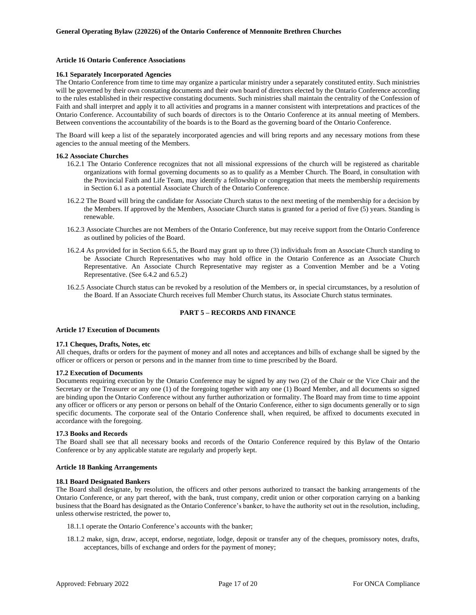### <span id="page-20-0"></span>**Article 16 Ontario Conference Associations**

### <span id="page-20-1"></span>**16.1 Separately Incorporated Agencies**

The Ontario Conference from time to time may organize a particular ministry under a separately constituted entity. Such ministries will be governed by their own constating documents and their own board of directors elected by the Ontario Conference according to the rules established in their respective constating documents. Such ministries shall maintain the centrality of the Confession of Faith and shall interpret and apply it to all activities and programs in a manner consistent with interpretations and practices of the Ontario Conference. Accountability of such boards of directors is to the Ontario Conference at its annual meeting of Members. Between conventions the accountability of the boards is to the Board as the governing board of the Ontario Conference.

The Board will keep a list of the separately incorporated agencies and will bring reports and any necessary motions from these agencies to the annual meeting of the Members.

### <span id="page-20-2"></span>**16.2 Associate Churches**

- 16.2.1 The Ontario Conference recognizes that not all missional expressions of the church will be registered as charitable organizations with formal governing documents so as to qualify as a Member Church. The Board, in consultation with the Provincial Faith and Life Team, may identify a fellowship or congregation that meets the membership requirements in Section 6.1 as a potential Associate Church of the Ontario Conference.
- 16.2.2 The Board will bring the candidate for Associate Church status to the next meeting of the membership for a decision by the Members. If approved by the Members, Associate Church status is granted for a period of five (5) years. Standing is renewable.
- 16.2.3 Associate Churches are not Members of the Ontario Conference, but may receive support from the Ontario Conference as outlined by policies of the Board.
- 16.2.4 As provided for in Section 6.6.5, the Board may grant up to three (3) individuals from an Associate Church standing to be Associate Church Representatives who may hold office in the Ontario Conference as an Associate Church Representative. An Associate Church Representative may register as a Convention Member and be a Voting Representative. (See 6.4.2 and 6.5.2)
- 16.2.5 Associate Church status can be revoked by a resolution of the Members or, in special circumstances, by a resolution of the Board. If an Associate Church receives full Member Church status, its Associate Church status terminates.

### **PART 5 – RECORDS AND FINANCE**

#### <span id="page-20-4"></span><span id="page-20-3"></span>**Article 17 Execution of Documents**

#### <span id="page-20-5"></span>**17.1 Cheques, Drafts, Notes, etc**

All cheques, drafts or orders for the payment of money and all notes and acceptances and bills of exchange shall be signed by the officer or officers or person or persons and in the manner from time to time prescribed by the Board.

#### <span id="page-20-6"></span>**17.2 Execution of Documents**

Documents requiring execution by the Ontario Conference may be signed by any two (2) of the Chair or the Vice Chair and the Secretary or the Treasurer or any one (1) of the foregoing together with any one (1) Board Member, and all documents so signed are binding upon the Ontario Conference without any further authorization or formality. The Board may from time to time appoint any officer or officers or any person or persons on behalf of the Ontario Conference, either to sign documents generally or to sign specific documents. The corporate seal of the Ontario Conference shall, when required, be affixed to documents executed in accordance with the foregoing.

#### <span id="page-20-7"></span>**17.3 Books and Records**

The Board shall see that all necessary books and records of the Ontario Conference required by this Bylaw of the Ontario Conference or by any applicable statute are regularly and properly kept.

#### <span id="page-20-8"></span>**Article 18 Banking Arrangements**

### <span id="page-20-9"></span>**18.1 Board Designated Bankers**

The Board shall designate, by resolution, the officers and other persons authorized to transact the banking arrangements of the Ontario Conference, or any part thereof, with the bank, trust company, credit union or other corporation carrying on a banking business that the Board has designated as the Ontario Conference's banker, to have the authority set out in the resolution, including, unless otherwise restricted, the power to,

- 18.1.1 operate the Ontario Conference's accounts with the banker;
- 18.1.2 make, sign, draw, accept, endorse, negotiate, lodge, deposit or transfer any of the cheques, promissory notes, drafts, acceptances, bills of exchange and orders for the payment of money;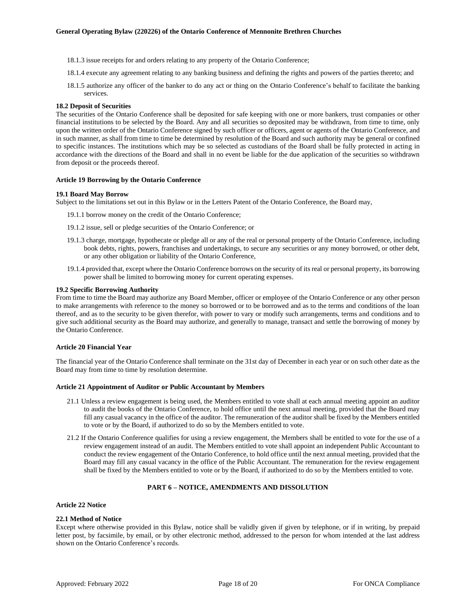- 18.1.3 issue receipts for and orders relating to any property of the Ontario Conference;
- 18.1.4 execute any agreement relating to any banking business and defining the rights and powers of the parties thereto; and
- 18.1.5 authorize any officer of the banker to do any act or thing on the Ontario Conference's behalf to facilitate the banking services.

### <span id="page-21-0"></span>**18.2 Deposit of Securities**

The securities of the Ontario Conference shall be deposited for safe keeping with one or more bankers, trust companies or other financial institutions to be selected by the Board. Any and all securities so deposited may be withdrawn, from time to time, only upon the written order of the Ontario Conference signed by such officer or officers, agent or agents of the Ontario Conference, and in such manner, as shall from time to time be determined by resolution of the Board and such authority may be general or confined to specific instances. The institutions which may be so selected as custodians of the Board shall be fully protected in acting in accordance with the directions of the Board and shall in no event be liable for the due application of the securities so withdrawn from deposit or the proceeds thereof.

### <span id="page-21-1"></span>**Article 19 Borrowing by the Ontario Conference**

#### <span id="page-21-2"></span>**19.1 Board May Borrow**

Subject to the limitations set out in this Bylaw or in the Letters Patent of the Ontario Conference, the Board may,

- 19.1.1 borrow money on the credit of the Ontario Conference;
- 19.1.2 issue, sell or pledge securities of the Ontario Conference; or
- 19.1.3 charge, mortgage, hypothecate or pledge all or any of the real or personal property of the Ontario Conference, including book debts, rights, powers, franchises and undertakings, to secure any securities or any money borrowed, or other debt, or any other obligation or liability of the Ontario Conference,
- 19.1.4 provided that, except where the Ontario Conference borrows on the security of its real or personal property, its borrowing power shall be limited to borrowing money for current operating expenses.

### <span id="page-21-3"></span>**19.2 Specific Borrowing Authority**

From time to time the Board may authorize any Board Member, officer or employee of the Ontario Conference or any other person to make arrangements with reference to the money so borrowed or to be borrowed and as to the terms and conditions of the loan thereof, and as to the security to be given therefor, with power to vary or modify such arrangements, terms and conditions and to give such additional security as the Board may authorize, and generally to manage, transact and settle the borrowing of money by the Ontario Conference.

### <span id="page-21-4"></span>**Article 20 Financial Year**

The financial year of the Ontario Conference shall terminate on the 31st day of December in each year or on such other date as the Board may from time to time by resolution determine.

#### <span id="page-21-5"></span>**Article 21 Appointment of Auditor or Public Accountant by Members**

- 21.1 Unless a review engagement is being used, the Members entitled to vote shall at each annual meeting appoint an auditor to audit the books of the Ontario Conference, to hold office until the next annual meeting, provided that the Board may fill any casual vacancy in the office of the auditor. The remuneration of the auditor shall be fixed by the Members entitled to vote or by the Board, if authorized to do so by the Members entitled to vote.
- 21.2 If the Ontario Conference qualifies for using a review engagement, the Members shall be entitled to vote for the use of a review engagement instead of an audit. The Members entitled to vote shall appoint an independent Public Accountant to conduct the review engagement of the Ontario Conference, to hold office until the next annual meeting, provided that the Board may fill any casual vacancy in the office of the Public Accountant. The remuneration for the review engagement shall be fixed by the Members entitled to vote or by the Board, if authorized to do so by the Members entitled to vote.

### **PART 6 – NOTICE, AMENDMENTS AND DISSOLUTION**

### <span id="page-21-7"></span><span id="page-21-6"></span>**Article 22 Notice**

### <span id="page-21-8"></span>**22.1 Method of Notice**

Except where otherwise provided in this Bylaw, notice shall be validly given if given by telephone, or if in writing, by prepaid letter post, by facsimile, by email, or by other electronic method, addressed to the person for whom intended at the last address shown on the Ontario Conference's records.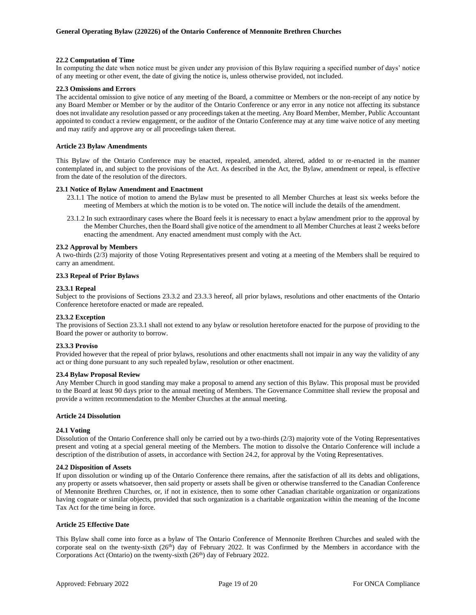### <span id="page-22-0"></span>**22.2 Computation of Time**

In computing the date when notice must be given under any provision of this Bylaw requiring a specified number of days' notice of any meeting or other event, the date of giving the notice is, unless otherwise provided, not included.

### <span id="page-22-1"></span>**22.3 Omissions and Errors**

The accidental omission to give notice of any meeting of the Board, a committee or Members or the non-receipt of any notice by any Board Member or Member or by the auditor of the Ontario Conference or any error in any notice not affecting its substance does not invalidate any resolution passed or any proceedings taken at the meeting. Any Board Member, Member, Public Accountant appointed to conduct a review engagement, or the auditor of the Ontario Conference may at any time waive notice of any meeting and may ratify and approve any or all proceedings taken thereat.

### <span id="page-22-2"></span>**Article 23 Bylaw Amendments**

This Bylaw of the Ontario Conference may be enacted, repealed, amended, altered, added to or re-enacted in the manner contemplated in, and subject to the provisions of the Act. As described in the Act, the Bylaw, amendment or repeal, is effective from the date of the resolution of the directors.

### <span id="page-22-3"></span>**23.1 Notice of Bylaw Amendment and Enactment**

- 23.1.1 The notice of motion to amend the Bylaw must be presented to all Member Churches at least six weeks before the meeting of Members at which the motion is to be voted on. The notice will include the details of the amendment.
- 23.1.2 In such extraordinary cases where the Board feels it is necessary to enact a bylaw amendment prior to the approval by the Member Churches, then the Board shall give notice of the amendment to all Member Churches at least 2 weeks before enacting the amendment. Any enacted amendment must comply with the Act.

### <span id="page-22-4"></span>**23.2 Approval by Members**

A two-thirds (2/3) majority of those Voting Representatives present and voting at a meeting of the Members shall be required to carry an amendment.

### <span id="page-22-5"></span>**23.3 Repeal of Prior Bylaws**

### <span id="page-22-6"></span>**23.3.1 Repeal**

Subject to the provisions of Sections 23.3.2 and 23.3.3 hereof, all prior bylaws, resolutions and other enactments of the Ontario Conference heretofore enacted or made are repealed.

#### <span id="page-22-7"></span>**23.3.2 Exception**

The provisions of Section 23.3.1 shall not extend to any bylaw or resolution heretofore enacted for the purpose of providing to the Board the power or authority to borrow.

#### <span id="page-22-8"></span>**23.3.3 Proviso**

Provided however that the repeal of prior bylaws, resolutions and other enactments shall not impair in any way the validity of any act or thing done pursuant to any such repealed bylaw, resolution or other enactment.

#### <span id="page-22-9"></span>**23.4 Bylaw Proposal Review**

Any Member Church in good standing may make a proposal to amend any section of this Bylaw. This proposal must be provided to the Board at least 90 days prior to the annual meeting of Members. The Governance Committee shall review the proposal and provide a written recommendation to the Member Churches at the annual meeting.

### <span id="page-22-10"></span>**Article 24 Dissolution**

#### <span id="page-22-11"></span>**24.1 Voting**

Dissolution of the Ontario Conference shall only be carried out by a two-thirds (2/3) majority vote of the Voting Representatives present and voting at a special general meeting of the Members. The motion to dissolve the Ontario Conference will include a description of the distribution of assets, in accordance with Section 24.2, for approval by the Voting Representatives.

#### <span id="page-22-12"></span>**24.2 Disposition of Assets**

If upon dissolution or winding up of the Ontario Conference there remains, after the satisfaction of all its debts and obligations, any property or assets whatsoever, then said property or assets shall be given or otherwise transferred to the Canadian Conference of Mennonite Brethren Churches, or, if not in existence, then to some other Canadian charitable organization or organizations having cognate or similar objects, provided that such organization is a charitable organization within the meaning of the Income Tax Act for the time being in force.

### <span id="page-22-13"></span>**Article 25 Effective Date**

This Bylaw shall come into force as a bylaw of The Ontario Conference of Mennonite Brethren Churches and sealed with the corporate seal on the twenty-sixth (26<sup>th</sup>) day of February 2022. It was Confirmed by the Members in accordance with the Corporations Act (Ontario) on the twenty-sixth (26<sup>th</sup>) day of February 2022.